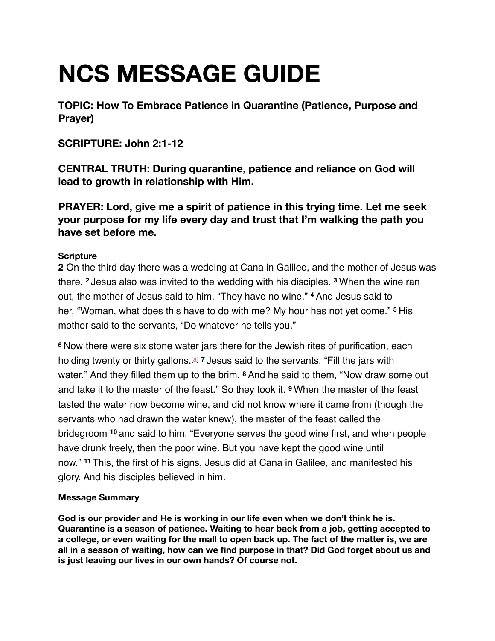# **NCS MESSAGE GUIDE**

**TOPIC: How To Embrace Patience in Quarantine (Patience, Purpose and Prayer)**

## **SCRIPTURE: John 2:1-12**

**CENTRAL TRUTH: During quarantine, patience and reliance on God will lead to growth in relationship with Him.**

**PRAYER: Lord, give me a spirit of patience in this trying time. Let me seek your purpose for my life every day and trust that I'm walking the path you have set before me.** 

## **Scripture**

**2** On the third day there was a wedding at Cana in Galilee, and the mother of Jesus was there. **<sup>2</sup>** Jesus also was invited to the wedding with his disciples. **<sup>3</sup>** When the wine ran out, the mother of Jesus said to him, "They have no wine." **<sup>4</sup>** And Jesus said to her, "Woman, what does this have to do with me? My hour has not yet come." **<sup>5</sup>** His mother said to the servants, "Do whatever he tells you."

**<sup>6</sup>** Now there were six stone water jars there for the Jewish rites of purification, each holding twenty or thirty gallons.[[a](https://www.biblegateway.com/passage/?search=John+2:1-12&version=ESV%22%20%5Cl%20%22fen-ESV-26091a%22%20%5Co%20%22See%20footnote%20a)] **<sup>7</sup>** Jesus said to the servants, "Fill the jars with water." And they filled them up to the brim. <sup>8</sup> And he said to them, "Now draw some out and take it to the master of the feast." So they took it. **<sup>9</sup>** When the master of the feast tasted the water now become wine, and did not know where it came from (though the servants who had drawn the water knew), the master of the feast called the bridegroom **<sup>10</sup>** and said to him, "Everyone serves the good wine first, and when people have drunk freely, then the poor wine. But you have kept the good wine until now." **<sup>11</sup>** This, the first of his signs, Jesus did at Cana in Galilee, and manifested his glory. And his disciples believed in him.

### **Message Summary**

**God is our provider and He is working in our life even when we don't think he is. Quarantine is a season of patience. Waiting to hear back from a job, getting accepted to a college, or even waiting for the mall to open back up. The fact of the matter is, we are all in a season of waiting, how can we find purpose in that? Did God forget about us and is just leaving our lives in our own hands? Of course not.**